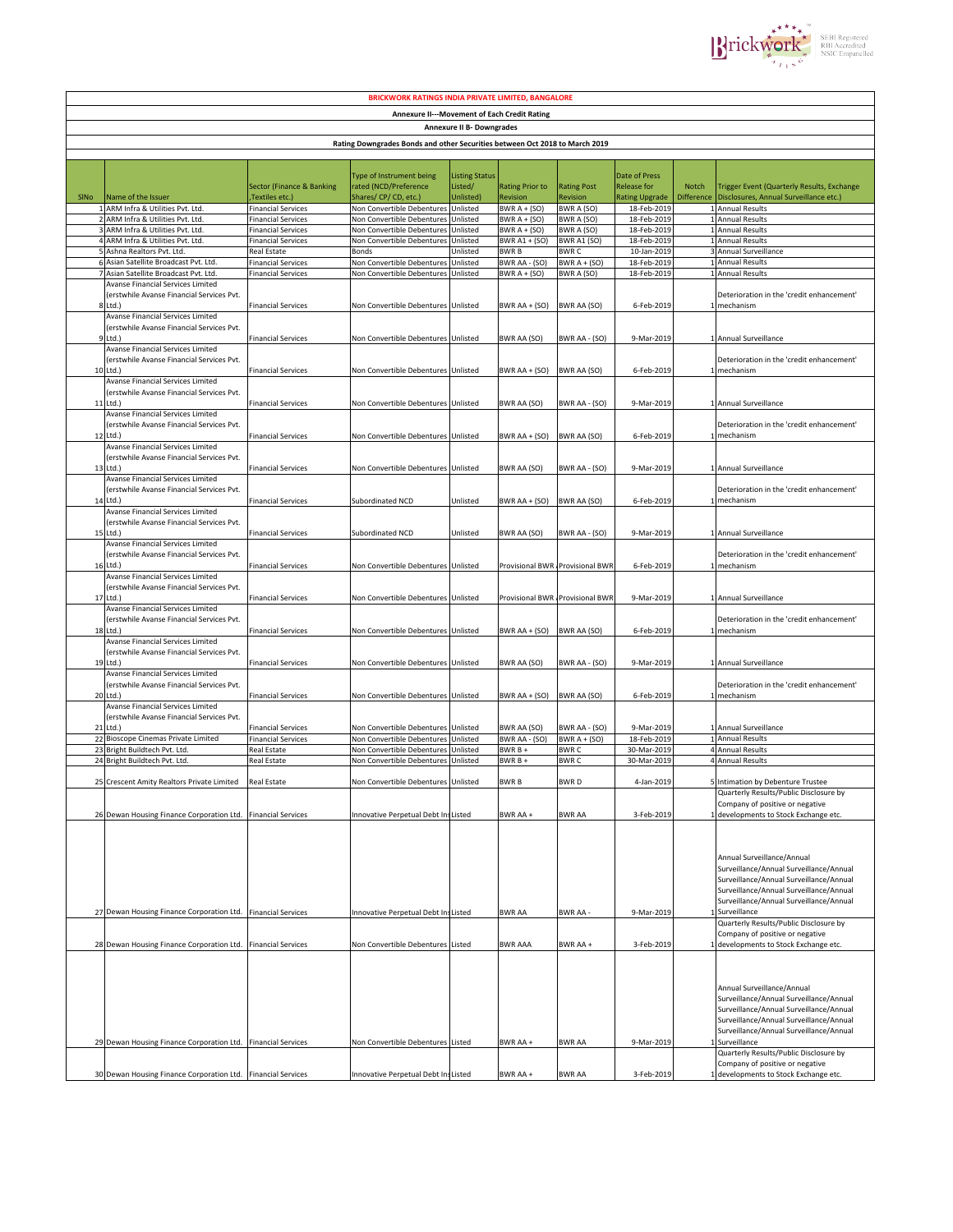

| <b>BRICKWORK RATINGS INDIA PRIVATE LIMITED, BANGALORE</b>                   |                                                                               |                                             |                                                          |                       |                                 |                        |                               |              |                                                                                    |  |  |
|-----------------------------------------------------------------------------|-------------------------------------------------------------------------------|---------------------------------------------|----------------------------------------------------------|-----------------------|---------------------------------|------------------------|-------------------------------|--------------|------------------------------------------------------------------------------------|--|--|
| Annexure II---Movement of Each Credit Rating                                |                                                                               |                                             |                                                          |                       |                                 |                        |                               |              |                                                                                    |  |  |
| Annexure II B- Downgrades                                                   |                                                                               |                                             |                                                          |                       |                                 |                        |                               |              |                                                                                    |  |  |
| Rating Downgrades Bonds and other Securities between Oct 2018 to March 2019 |                                                                               |                                             |                                                          |                       |                                 |                        |                               |              |                                                                                    |  |  |
|                                                                             |                                                                               |                                             |                                                          |                       |                                 |                        |                               |              |                                                                                    |  |  |
|                                                                             |                                                                               |                                             |                                                          |                       |                                 |                        |                               |              |                                                                                    |  |  |
|                                                                             |                                                                               |                                             | Type of Instrument being                                 | <b>Listing Status</b> |                                 |                        | Date of Press                 |              |                                                                                    |  |  |
|                                                                             |                                                                               | <b>Sector (Finance &amp; Banking</b>        | rated (NCD/Preference                                    | Listed/               | <b>Rating Prior to</b>          | <b>Rating Post</b>     | <b>Release for</b>            | <b>Notch</b> | Trigger Event (Quarterly Results, Exchange                                         |  |  |
| SINO                                                                        | Name of the Issuer<br>1 ARM Infra & Utilities Pvt. Ltd.                       | Textiles etc.)<br><b>Financial Services</b> | Shares/ CP/ CD, etc.)<br>Non Convertible Debentures      | Jnlisted)<br>Unlisted | Revision<br>BWR $A + (SO)$      | Revision<br>BWR A (SO) | Rating Upgrade<br>18-Feb-2019 | Difference   | Disclosures, Annual Surveillance etc.)<br>1 Annual Results                         |  |  |
|                                                                             | 2 ARM Infra & Utilities Pvt. Ltd.                                             | <b>Financial Services</b>                   | Non Convertible Debenture:                               | Unlisted              | BWR $A + (SO)$                  | BWR A (SO)             | 18-Feb-2019                   |              | 1 Annual Results                                                                   |  |  |
|                                                                             | ARM Infra & Utilities Pvt. Ltd.                                               | <b>Financial Services</b>                   | Non Convertible Debentures                               | Unlisted              | BWR $A + (SO)$                  | BWR A (SO)             | 18-Feb-2019                   |              | <b>Annual Results</b>                                                              |  |  |
|                                                                             | 4 ARM Infra & Utilities Pvt. Ltd.                                             | <b>Financial Services</b>                   | Non Convertible Debentures                               | Unlisted              | BWR A1 + (SO)                   | <b>BWR A1 (SO)</b>     | 18-Feb-2019                   |              | <b>Annual Results</b>                                                              |  |  |
|                                                                             | 5 Ashna Realtors Pvt. Ltd.                                                    | Real Estate                                 | Bonds                                                    | Unlisted              | <b>BWRB</b>                     | BWR C                  | 10-Jan-2019                   |              | Annual Surveillance                                                                |  |  |
|                                                                             | Asian Satellite Broadcast Pvt. Ltd.<br>Asian Satellite Broadcast Pvt. Ltd.    | <b>Financial Services</b>                   | Non Convertible Debentures<br>Non Convertible Debentures | Unlisted              | BWR AA - (SO)                   | BWR $A + (SO)$         | 18-Feb-2019                   | 1            | <b>Annual Results</b><br>1 Annual Results                                          |  |  |
|                                                                             | Avanse Financial Services Limited                                             | <b>Financial Services</b>                   |                                                          | Unlisted              | BWR $A + (SO)$                  | BWR A (SO)             | 18-Feb-2019                   |              |                                                                                    |  |  |
|                                                                             | erstwhile Avanse Financial Services Pvt.                                      |                                             |                                                          |                       |                                 |                        |                               |              | Deterioration in the 'credit enhancement'                                          |  |  |
| R                                                                           | Ltd.)                                                                         | <b>Financial Services</b>                   | Non Convertible Debentures Unlisted                      |                       | BWR AA + (SO)                   | BWR AA (SO)            | 6-Feb-2019                    |              | 1 mechanism                                                                        |  |  |
|                                                                             | Avanse Financial Services Limited                                             |                                             |                                                          |                       |                                 |                        |                               |              |                                                                                    |  |  |
| q                                                                           | (erstwhile Avanse Financial Services Pvt.                                     |                                             |                                                          |                       |                                 |                        |                               |              |                                                                                    |  |  |
|                                                                             | Ltd.)<br>Avanse Financial Services Limited                                    | <b>Financial Services</b>                   | Non Convertible Debentures Unlisted                      |                       | BWR AA (SO)                     | BWR AA - (SO)          | 9-Mar-2019                    |              | 1 Annual Surveillance                                                              |  |  |
|                                                                             | (erstwhile Avanse Financial Services Pvt.                                     |                                             |                                                          |                       |                                 |                        |                               |              | Deterioration in the 'credit enhancement'                                          |  |  |
| 10                                                                          | Ltd.)                                                                         | <b>Financial Services</b>                   | Non Convertible Debentures Unlisted                      |                       | BWR AA + (SO)                   | BWR AA (SO)            | 6-Feb-2019                    |              | 1 mechanism                                                                        |  |  |
|                                                                             | Avanse Financial Services Limited                                             |                                             |                                                          |                       |                                 |                        |                               |              |                                                                                    |  |  |
|                                                                             | (erstwhile Avanse Financial Services Pvt.                                     |                                             |                                                          |                       |                                 |                        |                               |              |                                                                                    |  |  |
| 11                                                                          | Ltd.)                                                                         | <b>Financial Services</b>                   | Non Convertible Debentures                               | Unlisted              | BWR AA (SO)                     | BWR AA - (SO)          | 9-Mar-2019                    |              | 1 Annual Surveillance                                                              |  |  |
|                                                                             | Avanse Financial Services Limited<br>erstwhile Avanse Financial Services Pvt. |                                             |                                                          |                       |                                 |                        |                               |              | Deterioration in the 'credit enhancement'                                          |  |  |
| 12                                                                          | Ltd.)                                                                         | <b>Financial Services</b>                   | Non Convertible Debentures Unlisted                      |                       | <b>BWR AA + (SO)</b>            | BWR AA (SO)            | 6-Feb-2019                    |              | 1 mechanism                                                                        |  |  |
|                                                                             | Avanse Financial Services Limited                                             |                                             |                                                          |                       |                                 |                        |                               |              |                                                                                    |  |  |
|                                                                             | erstwhile Avanse Financial Services Pvt.                                      |                                             |                                                          |                       |                                 |                        |                               |              |                                                                                    |  |  |
| 13                                                                          | Ltd.)                                                                         | <b>Financial Services</b>                   | Non Convertible Debentures Unlisted                      |                       | <b>BWR AA (SO)</b>              | BWR AA - (SO)          | 9-Mar-2019                    |              | Annual Surveillance                                                                |  |  |
|                                                                             | Avanse Financial Services Limited<br>erstwhile Avanse Financial Services Pvt. |                                             |                                                          |                       |                                 |                        |                               |              | Deterioration in the 'credit enhancement'                                          |  |  |
| 14                                                                          | Ltd.)                                                                         | <b>Financial Services</b>                   | Subordinated NCD                                         | Unlisted              | BWR AA + (SO)                   | BWR AA (SO)            | 6-Feb-2019                    |              | mechanism                                                                          |  |  |
|                                                                             | Avanse Financial Services Limited                                             |                                             |                                                          |                       |                                 |                        |                               |              |                                                                                    |  |  |
|                                                                             | (erstwhile Avanse Financial Services Pvt.                                     |                                             |                                                          |                       |                                 |                        |                               |              |                                                                                    |  |  |
| 15                                                                          | Ltd.)                                                                         | <b>Financial Services</b>                   | Subordinated NCD                                         | Unlisted              | BWR AA (SO)                     | BWR AA - (SO)          | 9-Mar-2019                    |              | Annual Surveillance                                                                |  |  |
|                                                                             | Avanse Financial Services Limited                                             |                                             |                                                          |                       |                                 |                        |                               |              |                                                                                    |  |  |
|                                                                             | erstwhile Avanse Financial Services Pvt.<br>Ltd.)                             |                                             |                                                          |                       |                                 |                        |                               |              | Deterioration in the 'credit enhancement'                                          |  |  |
| 16                                                                          | Avanse Financial Services Limited                                             | <b>Financial Services</b>                   | Non Convertible Debentures Unlisted                      |                       | Provisional BWR Provisional BWF |                        | 6-Feb-2019                    |              | mechanism                                                                          |  |  |
|                                                                             | (erstwhile Avanse Financial Services Pvt.                                     |                                             |                                                          |                       |                                 |                        |                               |              |                                                                                    |  |  |
| 17                                                                          | Ltd.)                                                                         | <b>Financial Services</b>                   | Non Convertible Debentures Unlisted                      |                       | Provisional BWR Provisional BWF |                        | 9-Mar-2019                    |              | 1 Annual Surveillance                                                              |  |  |
|                                                                             | Avanse Financial Services Limited                                             |                                             |                                                          |                       |                                 |                        |                               |              |                                                                                    |  |  |
|                                                                             | (erstwhile Avanse Financial Services Pvt.                                     |                                             |                                                          |                       |                                 |                        |                               |              | Deterioration in the 'credit enhancement'                                          |  |  |
|                                                                             | 18 Ltd.)<br>Avanse Financial Services Limited                                 | <b>Financial Services</b>                   | Non Convertible Debentures Unlisted                      |                       | BWR $AA + (SO)$                 | BWR AA (SO)            | 6-Feb-2019                    |              | 1 mechanism                                                                        |  |  |
|                                                                             | erstwhile Avanse Financial Services Pvt.                                      |                                             |                                                          |                       |                                 |                        |                               |              |                                                                                    |  |  |
|                                                                             | 19 Ltd.)                                                                      | <b>Financial Services</b>                   | Non Convertible Debentures Unlisted                      |                       | BWR AA (SO)                     | BWR AA - (SO)          | 9-Mar-2019                    |              | 1 Annual Surveillance                                                              |  |  |
|                                                                             | Avanse Financial Services Limited                                             |                                             |                                                          |                       |                                 |                        |                               |              |                                                                                    |  |  |
|                                                                             | erstwhile Avanse Financial Services Pvt.                                      |                                             |                                                          |                       |                                 |                        |                               |              | Deterioration in the 'credit enhancement'                                          |  |  |
|                                                                             | 20 Ltd.)                                                                      | <b>Financial Services</b>                   | Non Convertible Debentures Unlisted                      |                       | BWR $AA + (SO)$                 | BWR AA (SO)            | 6-Feb-2019                    |              | 1 mechanism                                                                        |  |  |
|                                                                             | Avanse Financial Services Limited                                             |                                             |                                                          |                       |                                 |                        |                               |              |                                                                                    |  |  |
|                                                                             | (erstwhile Avanse Financial Services Pvt.<br>21 Ltd.)                         | <b>Financial Services</b>                   | Non Convertible Debentures                               | Unlisted              | BWR AA (SO)                     | BWR AA - (SO)          | 9-Mar-2019                    |              | 1 Annual Surveillance                                                              |  |  |
|                                                                             | 22 Bioscope Cinemas Private Limited                                           | <b>Financial Services</b>                   | Non Convertible Debentures                               | Unlisted              | BWR AA - (SO)                   | BWR $A + (SO)$         | 18-Feb-2019                   |              | 1 Annual Results                                                                   |  |  |
|                                                                             | 23 Bright Buildtech Pvt. Ltd.                                                 | Real Estate                                 | Non Convertible Debentures                               | Unlisted              | BWR B +                         | <b>BWRC</b>            | 30-Mar-2019                   |              | 4 Annual Results                                                                   |  |  |
|                                                                             | 24 Bright Buildtech Pvt. Ltd.                                                 | Real Estate                                 | Non Convertible Debenture:                               | Unlisted              | BWR B+                          | <b>BWRC</b>            | 30-Mar-2019                   |              | 4 Annual Results                                                                   |  |  |
|                                                                             |                                                                               |                                             |                                                          |                       |                                 |                        |                               |              |                                                                                    |  |  |
|                                                                             | 25 Crescent Amity Realtors Private Limited                                    | Real Estate                                 | Non Convertible Debentures Unlisted                      |                       | <b>BWRB</b>                     | <b>BWRD</b>            | 4-Jan-2019                    |              | 5 Intimation by Debenture Trustee                                                  |  |  |
|                                                                             |                                                                               |                                             |                                                          |                       |                                 |                        |                               |              | Quarterly Results/Public Disclosure by<br>Company of positive or negative          |  |  |
|                                                                             | 26 Dewan Housing Finance Corporation Ltd. Financial Services                  |                                             | Innovative Perpetual Debt InsListed                      |                       | BWR AA +                        | <b>BWR AA</b>          | 3-Feb-2019                    |              | 1 developments to Stock Exchange etc.                                              |  |  |
|                                                                             |                                                                               |                                             |                                                          |                       |                                 |                        |                               |              |                                                                                    |  |  |
|                                                                             |                                                                               |                                             |                                                          |                       |                                 |                        |                               |              |                                                                                    |  |  |
|                                                                             |                                                                               |                                             |                                                          |                       |                                 |                        |                               |              |                                                                                    |  |  |
|                                                                             |                                                                               |                                             |                                                          |                       |                                 |                        |                               |              | Annual Surveillance/Annual                                                         |  |  |
|                                                                             |                                                                               |                                             |                                                          |                       |                                 |                        |                               |              | Surveillance/Annual Surveillance/Annual<br>Surveillance/Annual Surveillance/Annual |  |  |
|                                                                             |                                                                               |                                             |                                                          |                       |                                 |                        |                               |              | Surveillance/Annual Surveillance/Annual                                            |  |  |
|                                                                             |                                                                               |                                             |                                                          |                       |                                 |                        |                               |              | Surveillance/Annual Surveillance/Annual                                            |  |  |
|                                                                             | 27 Dewan Housing Finance Corporation Ltd. Financial Services                  |                                             | Innovative Perpetual Debt InsListed                      |                       | <b>BWR AA</b>                   | <b>BWR AA -</b>        | 9-Mar-2019                    |              | Surveillance                                                                       |  |  |
|                                                                             |                                                                               |                                             |                                                          |                       |                                 |                        |                               |              | Quarterly Results/Public Disclosure by                                             |  |  |
|                                                                             | 28 Dewan Housing Finance Corporation Ltd.                                     |                                             | Non Convertible Debentures Listed                        |                       |                                 |                        |                               |              | Company of positive or negative                                                    |  |  |
|                                                                             |                                                                               | <b>Financial Services</b>                   |                                                          |                       | <b>BWR AAA</b>                  | BWR AA +               | 3-Feb-2019                    |              | 1 developments to Stock Exchange etc.                                              |  |  |
|                                                                             |                                                                               |                                             |                                                          |                       |                                 |                        |                               |              |                                                                                    |  |  |
|                                                                             |                                                                               |                                             |                                                          |                       |                                 |                        |                               |              |                                                                                    |  |  |
|                                                                             |                                                                               |                                             |                                                          |                       |                                 |                        |                               |              | Annual Surveillance/Annual                                                         |  |  |
|                                                                             |                                                                               |                                             |                                                          |                       |                                 |                        |                               |              | Surveillance/Annual Surveillance/Annual                                            |  |  |
|                                                                             |                                                                               |                                             |                                                          |                       |                                 |                        |                               |              | Surveillance/Annual Surveillance/Annual                                            |  |  |
|                                                                             |                                                                               |                                             |                                                          |                       |                                 |                        |                               |              | Surveillance/Annual Surveillance/Annual<br>Surveillance/Annual Surveillance/Annual |  |  |
|                                                                             | 29 Dewan Housing Finance Corporation Ltd. Financial Services                  |                                             | Non Convertible Debentures Listed                        |                       | BWR AA +                        | <b>BWR AA</b>          | 9-Mar-2019                    |              | Surveillance                                                                       |  |  |
|                                                                             |                                                                               |                                             |                                                          |                       |                                 |                        |                               |              | Quarterly Results/Public Disclosure by                                             |  |  |
|                                                                             |                                                                               |                                             |                                                          |                       |                                 |                        |                               |              | Company of positive or negative                                                    |  |  |
|                                                                             | 30 Dewan Housing Finance Corporation Ltd. Financial Services                  |                                             | Innovative Perpetual Debt InsListed                      |                       | BWR AA +                        | <b>BWR AA</b>          | 3-Feb-2019                    |              | developments to Stock Exchange etc.                                                |  |  |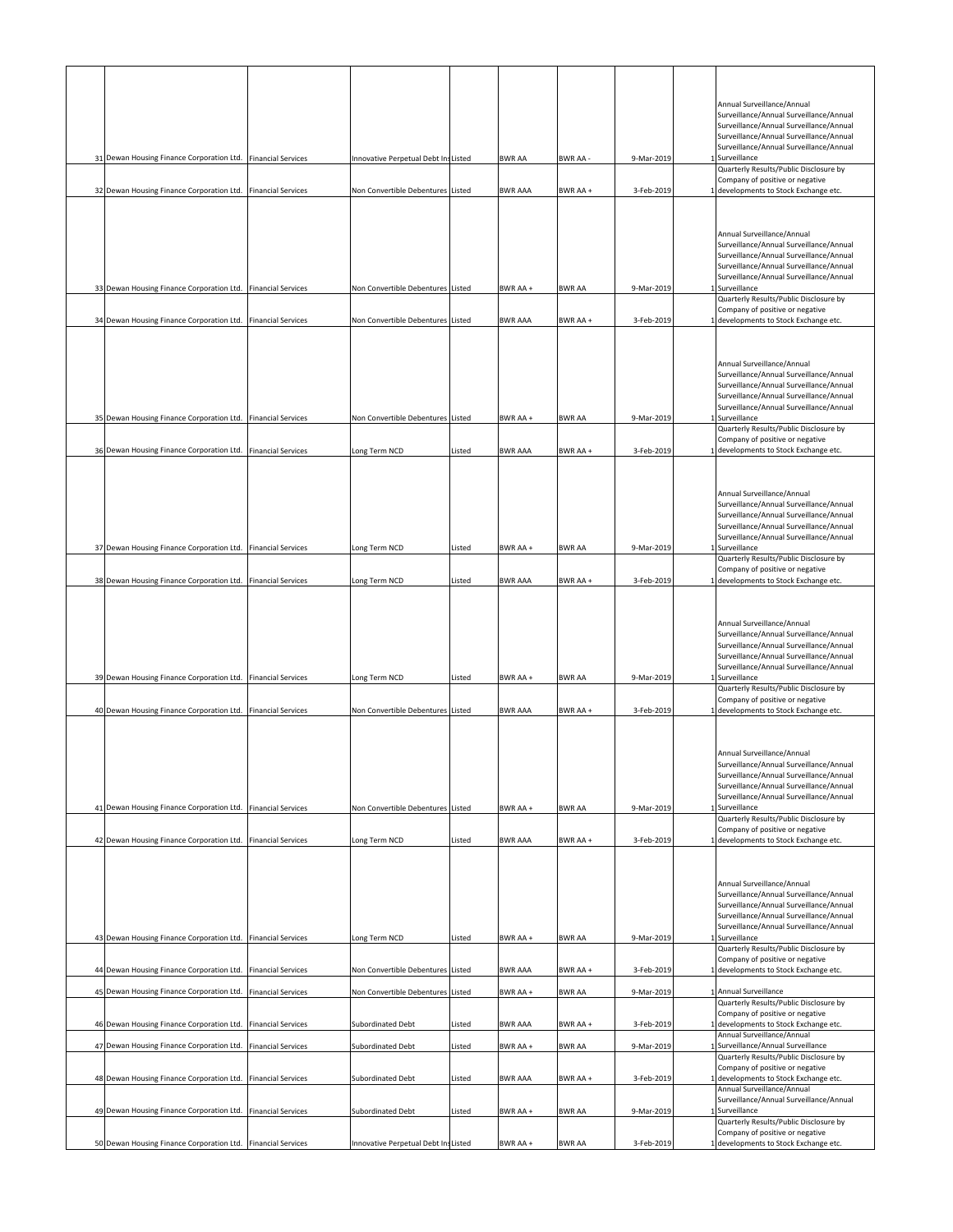|  |                                                              |                           |                                     |        |                |               |            | Annual Surveillance/Annual<br>Surveillance/Annual Surveillance/Annual              |
|--|--------------------------------------------------------------|---------------------------|-------------------------------------|--------|----------------|---------------|------------|------------------------------------------------------------------------------------|
|  |                                                              |                           |                                     |        |                |               |            | Surveillance/Annual Surveillance/Annual<br>Surveillance/Annual Surveillance/Annual |
|  | 31 Dewan Housing Finance Corporation Ltd. Financial Services |                           | Innovative Perpetual Debt InsListed |        | <b>BWR AA</b>  | BWR AA -      | 9-Mar-2019 | Surveillance/Annual Surveillance/Annual<br>1 Surveillance                          |
|  |                                                              |                           |                                     |        |                |               |            | Quarterly Results/Public Disclosure by<br>Company of positive or negative          |
|  | 32 Dewan Housing Finance Corporation Ltd. Financial Services |                           | Non Convertible Debentures Listed   |        | <b>BWR AAA</b> | BWR AA +      | 3-Feb-2019 | 1 developments to Stock Exchange etc.                                              |
|  |                                                              |                           |                                     |        |                |               |            |                                                                                    |
|  |                                                              |                           |                                     |        |                |               |            | Annual Surveillance/Annual<br>Surveillance/Annual Surveillance/Annual              |
|  |                                                              |                           |                                     |        |                |               |            | Surveillance/Annual Surveillance/Annual<br>Surveillance/Annual Surveillance/Annual |
|  | 33 Dewan Housing Finance Corporation Ltd. Financial Services |                           | Non Convertible Debentures Listed   |        | BWR AA+        | <b>BWR AA</b> | 9-Mar-2019 | Surveillance/Annual Surveillance/Annual<br>1 Surveillance                          |
|  |                                                              |                           |                                     |        |                |               |            | Quarterly Results/Public Disclosure by<br>Company of positive or negative          |
|  | 34 Dewan Housing Finance Corporation Ltd. Financial Services |                           | Non Convertible Debentures Listed   |        | <b>BWR AAA</b> | BWR AA +      | 3-Feb-2019 | 1 developments to Stock Exchange etc.                                              |
|  |                                                              |                           |                                     |        |                |               |            |                                                                                    |
|  |                                                              |                           |                                     |        |                |               |            | Annual Surveillance/Annual<br>Surveillance/Annual Surveillance/Annual              |
|  |                                                              |                           |                                     |        |                |               |            | Surveillance/Annual Surveillance/Annual<br>Surveillance/Annual Surveillance/Annual |
|  | 35 Dewan Housing Finance Corporation Ltd. Financial Services |                           | Non Convertible Debentures Listed   |        | BWR AA +       | <b>BWR AA</b> | 9-Mar-2019 | Surveillance/Annual Surveillance/Annual<br>Surveillance                            |
|  |                                                              |                           |                                     |        |                |               |            | Quarterly Results/Public Disclosure by<br>Company of positive or negative          |
|  | 36 Dewan Housing Finance Corporation Ltd. Financial Services |                           | Long Term NCD                       | Listed | <b>BWR AAA</b> | BWR AA +      | 3-Feb-2019 | 1 developments to Stock Exchange etc.                                              |
|  |                                                              |                           |                                     |        |                |               |            |                                                                                    |
|  |                                                              |                           |                                     |        |                |               |            | Annual Surveillance/Annual<br>Surveillance/Annual Surveillance/Annual              |
|  |                                                              |                           |                                     |        |                |               |            | Surveillance/Annual Surveillance/Annual<br>Surveillance/Annual Surveillance/Annual |
|  | 37 Dewan Housing Finance Corporation Ltd. Financial Services |                           | Long Term NCD                       | Listed | BWR AA +       | <b>BWR AA</b> | 9-Mar-2019 | Surveillance/Annual Surveillance/Annual<br>1 Surveillance                          |
|  |                                                              |                           |                                     |        |                |               |            | Quarterly Results/Public Disclosure by<br>Company of positive or negative          |
|  | 38 Dewan Housing Finance Corporation Ltd. Financial Services |                           | Long Term NCD                       | Listed | <b>BWR AAA</b> | BWR AA +      | 3-Feb-2019 | 1 developments to Stock Exchange etc.                                              |
|  |                                                              |                           |                                     |        |                |               |            |                                                                                    |
|  |                                                              |                           |                                     |        |                |               |            | Annual Surveillance/Annual<br>Surveillance/Annual Surveillance/Annual              |
|  |                                                              |                           |                                     |        |                |               |            | Surveillance/Annual Surveillance/Annual<br>Surveillance/Annual Surveillance/Annual |
|  | 39 Dewan Housing Finance Corporation Ltd. Financial Services |                           | Long Term NCD                       | Listed | BWR AA +       | <b>BWR AA</b> | 9-Mar-2019 | Surveillance/Annual Surveillance/Annual<br>1 Surveillance                          |
|  |                                                              |                           |                                     |        |                |               |            | Quarterly Results/Public Disclosure by<br>Company of positive or negative          |
|  | 40 Dewan Housing Finance Corporation Ltd. Financial Services |                           | Non Convertible Debentures Listed   |        | <b>BWR AAA</b> | BWR AA +      | 3-Feb-2019 | 1 developments to Stock Exchange etc.                                              |
|  |                                                              |                           |                                     |        |                |               |            |                                                                                    |
|  |                                                              |                           |                                     |        |                |               |            | Annual Surveillance/Annual<br>Surveillance/Annual Surveillance/Annual              |
|  |                                                              |                           |                                     |        |                |               |            | Surveillance/Annual Surveillance/Annual<br>Surveillance/Annual Surveillance/Annual |
|  | 41 Dewan Housing Finance Corporation Ltd. Financial Services |                           | Non Convertible Debentures Listed   |        | BWR AA +       | <b>BWR AA</b> | 9-Mar-2019 | Surveillance/Annual Surveillance/Annual<br>1 Surveillance                          |
|  |                                                              |                           |                                     |        |                |               |            | Quarterly Results/Public Disclosure by<br>Company of positive or negative          |
|  | 42 Dewan Housing Finance Corporation Ltd. Financial Services |                           | Long Term NCD                       | Listed | <b>BWR AAA</b> | BWR AA +      | 3-Feb-2019 | 1 developments to Stock Exchange etc.                                              |
|  |                                                              |                           |                                     |        |                |               |            |                                                                                    |
|  |                                                              |                           |                                     |        |                |               |            | Annual Surveillance/Annual<br>Surveillance/Annual Surveillance/Annual              |
|  |                                                              |                           |                                     |        |                |               |            | Surveillance/Annual Surveillance/Annual<br>Surveillance/Annual Surveillance/Annual |
|  | 43 Dewan Housing Finance Corporation Ltd. Financial Services |                           | Long Term NCD                       | Listed | BWR AA +       | <b>BWR AA</b> | 9-Mar-2019 | Surveillance/Annual Surveillance/Annual<br>1 Surveillance                          |
|  |                                                              |                           |                                     |        |                |               |            | Quarterly Results/Public Disclosure by<br>Company of positive or negative          |
|  | 44 Dewan Housing Finance Corporation Ltd. Financial Services |                           | Non Convertible Debentures Listed   |        | <b>BWR AAA</b> | BWR AA +      | 3-Feb-2019 | 1 developments to Stock Exchange etc.                                              |
|  | 45 Dewan Housing Finance Corporation Ltd.                    | <b>Financial Services</b> | Non Convertible Debentures Listed   |        | BWR AA +       | <b>BWR AA</b> | 9-Mar-2019 | 1 Annual Surveillance<br>Quarterly Results/Public Disclosure by                    |
|  | 46 Dewan Housing Finance Corporation Ltd. Financial Services |                           | Subordinated Debt                   | Listed | <b>BWR AAA</b> | BWR AA +      | 3-Feb-2019 | Company of positive or negative<br>1 developments to Stock Exchange etc.           |
|  | 47 Dewan Housing Finance Corporation Ltd.                    | <b>Financial Services</b> | Subordinated Debt                   | Listed | BWR AA +       | <b>BWR AA</b> | 9-Mar-2019 | Annual Surveillance/Annual<br>1 Surveillance/Annual Surveillance                   |
|  |                                                              |                           |                                     |        |                |               |            | Quarterly Results/Public Disclosure by<br>Company of positive or negative          |
|  | 48 Dewan Housing Finance Corporation Ltd. Financial Services |                           | Subordinated Debt                   | Listed | <b>BWR AAA</b> | BWR AA +      | 3-Feb-2019 | 1 developments to Stock Exchange etc.<br>Annual Surveillance/Annual                |
|  | 49 Dewan Housing Finance Corporation Ltd. Financial Services |                           | Subordinated Debt                   | Listed | BWR AA +       | <b>BWR AA</b> | 9-Mar-2019 | Surveillance/Annual Surveillance/Annual<br>1 Surveillance                          |
|  |                                                              |                           |                                     |        |                |               |            | Quarterly Results/Public Disclosure by<br>Company of positive or negative          |
|  | 50 Dewan Housing Finance Corporation Ltd. Financial Services |                           | Innovative Perpetual Debt InsListed |        | BWR AA +       | <b>BWR AA</b> | 3-Feb-2019 | 1 developments to Stock Exchange etc.                                              |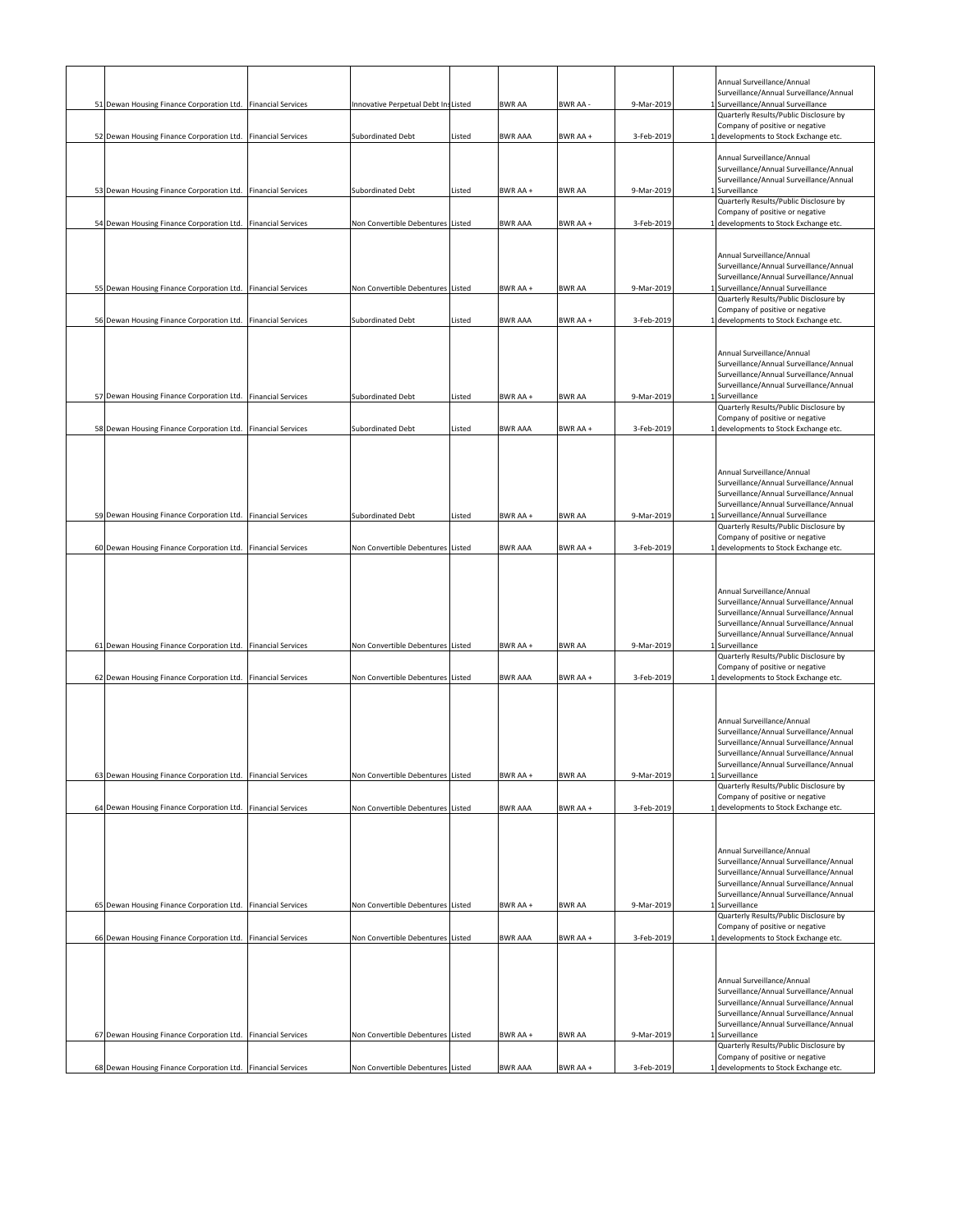|                                                              |                           |                                     |        |                |               |            | Annual Surveillance/Annual<br>Surveillance/Annual Surveillance/Annual              |
|--------------------------------------------------------------|---------------------------|-------------------------------------|--------|----------------|---------------|------------|------------------------------------------------------------------------------------|
| 51 Dewan Housing Finance Corporation Ltd. Financial Services |                           | Innovative Perpetual Debt InsListed |        | <b>BWR AA</b>  | BWR AA -      | 9-Mar-2019 | 1 Surveillance/Annual Surveillance                                                 |
|                                                              |                           |                                     |        |                |               |            | Quarterly Results/Public Disclosure by                                             |
|                                                              |                           |                                     |        |                |               |            | Company of positive or negative                                                    |
| 52 Dewan Housing Finance Corporation Ltd. Financial Services |                           | Subordinated Debt                   | Listed | <b>BWR AAA</b> | BWR AA +      | 3-Feb-2019 | 1 developments to Stock Exchange etc.                                              |
|                                                              |                           |                                     |        |                |               |            | Annual Surveillance/Annual                                                         |
|                                                              |                           |                                     |        |                |               |            | Surveillance/Annual Surveillance/Annual                                            |
|                                                              |                           |                                     |        |                |               |            | Surveillance/Annual Surveillance/Annual                                            |
| 53 Dewan Housing Finance Corporation Ltd. Financial Services |                           | Subordinated Debt                   | Listed | BWR AA +       | <b>BWR AA</b> | 9-Mar-2019 | 1 Surveillance                                                                     |
|                                                              |                           |                                     |        |                |               |            | Quarterly Results/Public Disclosure by                                             |
| 54 Dewan Housing Finance Corporation Ltd. Financial Services |                           |                                     |        |                |               |            | Company of positive or negative<br>1 developments to Stock Exchange etc.           |
|                                                              |                           | Non Convertible Debentures Listed   |        | <b>BWR AAA</b> | BWR AA +      | 3-Feb-2019 |                                                                                    |
|                                                              |                           |                                     |        |                |               |            |                                                                                    |
|                                                              |                           |                                     |        |                |               |            | Annual Surveillance/Annual                                                         |
|                                                              |                           |                                     |        |                |               |            | Surveillance/Annual Surveillance/Annual                                            |
|                                                              |                           |                                     |        |                |               |            | Surveillance/Annual Surveillance/Annual                                            |
| 55 Dewan Housing Finance Corporation Ltd. Financial Services |                           | Non Convertible Debentures Listed   |        | BWR AA +       | <b>BWR AA</b> | 9-Mar-2019 | 1 Surveillance/Annual Surveillance                                                 |
|                                                              |                           |                                     |        |                |               |            | Quarterly Results/Public Disclosure by<br>Company of positive or negative          |
| 56 Dewan Housing Finance Corporation Ltd. Financial Services |                           | Subordinated Debt                   | Listed | <b>BWR AAA</b> | BWR AA +      | 3-Feb-2019 | 1 developments to Stock Exchange etc.                                              |
|                                                              |                           |                                     |        |                |               |            |                                                                                    |
|                                                              |                           |                                     |        |                |               |            |                                                                                    |
|                                                              |                           |                                     |        |                |               |            | Annual Surveillance/Annual                                                         |
|                                                              |                           |                                     |        |                |               |            | Surveillance/Annual Surveillance/Annual                                            |
|                                                              |                           |                                     |        |                |               |            | Surveillance/Annual Surveillance/Annual                                            |
| 57 Dewan Housing Finance Corporation Ltd. Financial Services |                           | Subordinated Debt                   | Listed | BWR AA +       | <b>BWR AA</b> | 9-Mar-2019 | Surveillance/Annual Surveillance/Annual<br>1 Surveillance                          |
|                                                              |                           |                                     |        |                |               |            | Quarterly Results/Public Disclosure by                                             |
|                                                              |                           |                                     |        |                |               |            | Company of positive or negative                                                    |
| 58 Dewan Housing Finance Corporation Ltd. Financial Services |                           | Subordinated Debt                   | Listed | <b>BWR AAA</b> | BWR AA +      | 3-Feb-2019 | 1 developments to Stock Exchange etc.                                              |
|                                                              |                           |                                     |        |                |               |            |                                                                                    |
|                                                              |                           |                                     |        |                |               |            |                                                                                    |
|                                                              |                           |                                     |        |                |               |            |                                                                                    |
|                                                              |                           |                                     |        |                |               |            | Annual Surveillance/Annual                                                         |
|                                                              |                           |                                     |        |                |               |            | Surveillance/Annual Surveillance/Annual<br>Surveillance/Annual Surveillance/Annual |
|                                                              |                           |                                     |        |                |               |            | Surveillance/Annual Surveillance/Annual                                            |
| 59 Dewan Housing Finance Corporation Ltd. Financial Services |                           | Subordinated Debt                   | Listed | BWR AA +       | <b>BWR AA</b> | 9-Mar-2019 | Surveillance/Annual Surveillance                                                   |
|                                                              |                           |                                     |        |                |               |            | Quarterly Results/Public Disclosure by                                             |
|                                                              |                           |                                     |        |                |               |            | Company of positive or negative                                                    |
| 60 Dewan Housing Finance Corporation Ltd. Financial Services |                           | Non Convertible Debentures Listed   |        | <b>BWR AAA</b> | BWR AA +      | 3-Feb-2019 | 1 developments to Stock Exchange etc.                                              |
|                                                              |                           |                                     |        |                |               |            |                                                                                    |
|                                                              |                           |                                     |        |                |               |            |                                                                                    |
|                                                              |                           |                                     |        |                |               |            | Annual Surveillance/Annual                                                         |
|                                                              |                           |                                     |        |                |               |            | Surveillance/Annual Surveillance/Annual                                            |
|                                                              |                           |                                     |        |                |               |            | Surveillance/Annual Surveillance/Annual                                            |
|                                                              |                           |                                     |        |                |               |            | Surveillance/Annual Surveillance/Annual                                            |
|                                                              |                           |                                     |        |                |               |            | Surveillance/Annual Surveillance/Annual                                            |
| 61 Dewan Housing Finance Corporation Ltd. Financial Services |                           | Non Convertible Debentures Listed   |        | BWR AA +       | <b>BWR AA</b> | 9-Mar-2019 | 1 Surveillance<br>Quarterly Results/Public Disclosure by                           |
|                                                              |                           |                                     |        |                |               |            |                                                                                    |
| 62 Dewan Housing Finance Corporation Ltd. Financial Services |                           | Non Convertible Debentures Listed   |        | <b>BWR AAA</b> |               |            |                                                                                    |
|                                                              |                           |                                     |        |                | BWR AA +      | 3-Feb-2019 | Company of positive or negative                                                    |
|                                                              |                           |                                     |        |                |               |            | 1 developments to Stock Exchange etc.                                              |
|                                                              |                           |                                     |        |                |               |            |                                                                                    |
|                                                              |                           |                                     |        |                |               |            |                                                                                    |
|                                                              |                           |                                     |        |                |               |            | Annual Surveillance/Annual                                                         |
|                                                              |                           |                                     |        |                |               |            | Surveillance/Annual Surveillance/Annual                                            |
|                                                              |                           |                                     |        |                |               |            | Surveillance/Annual Surveillance/Annual                                            |
|                                                              |                           |                                     |        |                |               |            | Surveillance/Annual Surveillance/Annual<br>Surveillance/Annual Surveillance/Annual |
| 63 Dewan Housing Finance Corporation Ltd. Financial Services |                           | Non Convertible Debentures Listed   |        | BWR AA +       | <b>BWR AA</b> | 9-Mar-2019 | 1 Surveillance                                                                     |
|                                                              |                           |                                     |        |                |               |            | Quarterly Results/Public Disclosure by                                             |
|                                                              |                           |                                     |        |                |               |            | Company of positive or negative                                                    |
| 64 Dewan Housing Finance Corporation Ltd.                    | <b>Financial Services</b> | Non Convertible Debentures Listed   |        | <b>BWR AAA</b> | BWR AA +      | 3-Feb-2019 | developments to Stock Exchange etc.                                                |
|                                                              |                           |                                     |        |                |               |            |                                                                                    |
|                                                              |                           |                                     |        |                |               |            |                                                                                    |
|                                                              |                           |                                     |        |                |               |            | Annual Surveillance/Annual                                                         |
|                                                              |                           |                                     |        |                |               |            | Surveillance/Annual Surveillance/Annual                                            |
|                                                              |                           |                                     |        |                |               |            | Surveillance/Annual Surveillance/Annual                                            |
|                                                              |                           |                                     |        |                |               |            | Surveillance/Annual Surveillance/Annual                                            |
|                                                              |                           |                                     |        |                |               |            | Surveillance/Annual Surveillance/Annual                                            |
| 65 Dewan Housing Finance Corporation Ltd. Financial Services |                           | Non Convertible Debentures Listed   |        | BWR AA +       | <b>BWR AA</b> | 9-Mar-2019 | 1 Surveillance                                                                     |
|                                                              |                           |                                     |        |                |               |            | Quarterly Results/Public Disclosure by                                             |
|                                                              |                           |                                     |        | <b>BWR AAA</b> | BWR AA +      | 3-Feb-2019 | Company of positive or negative<br>1 developments to Stock Exchange etc.           |
| 66 Dewan Housing Finance Corporation Ltd. Financial Services |                           | Non Convertible Debentures Listed   |        |                |               |            |                                                                                    |
|                                                              |                           |                                     |        |                |               |            |                                                                                    |
|                                                              |                           |                                     |        |                |               |            |                                                                                    |
|                                                              |                           |                                     |        |                |               |            | Annual Surveillance/Annual                                                         |
|                                                              |                           |                                     |        |                |               |            | Surveillance/Annual Surveillance/Annual                                            |
|                                                              |                           |                                     |        |                |               |            | Surveillance/Annual Surveillance/Annual                                            |
|                                                              |                           |                                     |        |                |               |            | Surveillance/Annual Surveillance/Annual                                            |
| 67 Dewan Housing Finance Corporation Ltd. Financial Services |                           | Non Convertible Debentures Listed   |        | BWR AA +       | <b>BWR AA</b> | 9-Mar-2019 | Surveillance/Annual Surveillance/Annual<br>1 Surveillance                          |
|                                                              |                           |                                     |        |                |               |            | Quarterly Results/Public Disclosure by                                             |
| 68 Dewan Housing Finance Corporation Ltd. Financial Services |                           | Non Convertible Debentures Listed   |        | <b>BWR AAA</b> | BWR AA +      | 3-Feb-2019 | Company of positive or negative<br>1 developments to Stock Exchange etc.           |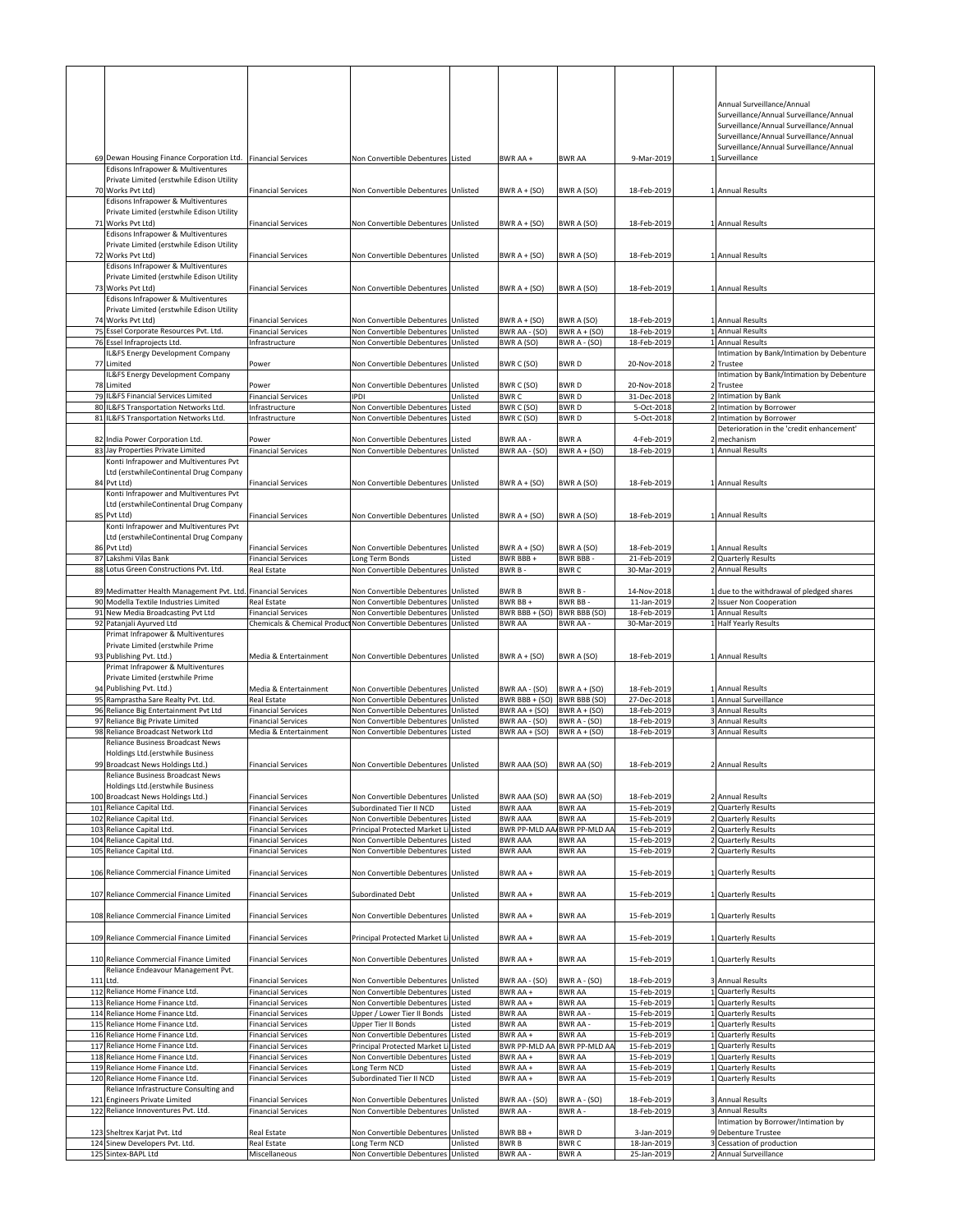| 69 Dewan Housing Finance Corporation Ltd. Financial Services<br>Edisons Infrapower & Multiventures   |                                                        | Non Convertible Debentures Listed                                 |                      | BWR AA+                                | <b>BWR AA</b>                         | 9-Mar-2019                 | Annual Surveillance/Annual<br>Surveillance/Annual Surveillance/Annual<br>Surveillance/Annual Surveillance/Annual<br>Surveillance/Annual Surveillance/Annual<br>Surveillance/Annual Surveillance/Annual<br>1 Surveillance |
|------------------------------------------------------------------------------------------------------|--------------------------------------------------------|-------------------------------------------------------------------|----------------------|----------------------------------------|---------------------------------------|----------------------------|--------------------------------------------------------------------------------------------------------------------------------------------------------------------------------------------------------------------------|
| Private Limited (erstwhile Edison Utility<br>70 Works Pvt Ltd)                                       | <b>Financial Services</b>                              | Non Convertible Debentures Unlisted                               |                      | BWR $A + (SO)$                         | BWR A (SO)                            | 18-Feb-2019                | 1 Annual Results                                                                                                                                                                                                         |
| Edisons Infrapower & Multiventures<br>Private Limited (erstwhile Edison Utility<br>71 Works Pvt Ltd) | <b>Financial Services</b>                              | Non Convertible Debentures Unlisted                               |                      | BWR $A + (SO)$                         | BWR A (SO)                            | 18-Feb-2019                | 1 Annual Results                                                                                                                                                                                                         |
| Edisons Infrapower & Multiventures<br>Private Limited (erstwhile Edison Utility                      |                                                        |                                                                   |                      |                                        |                                       |                            |                                                                                                                                                                                                                          |
| 72 Works Pvt Ltd)<br>Edisons Infrapower & Multiventures<br>Private Limited (erstwhile Edison Utility | <b>Financial Services</b>                              | Non Convertible Debentures Unlisted                               |                      | BWR $A + (SO)$                         | BWR A (SO)                            | 18-Feb-2019                | 1 Annual Results                                                                                                                                                                                                         |
| 73 Works Pvt Ltd)<br>Edisons Infrapower & Multiventures                                              | <b>Financial Services</b>                              | Non Convertible Debentures Unlisted                               |                      | BWR $A + (SO)$                         | BWR A (SO)                            | 18-Feb-2019                | 1 Annual Results                                                                                                                                                                                                         |
| Private Limited (erstwhile Edison Utility<br>74 Works Pvt Ltd)                                       | <b>Financial Services</b>                              | Non Convertible Debentures Unlisted                               |                      | BWR $A + (SO)$                         | BWR A (SO)                            | 18-Feb-2019                | 1 Annual Results                                                                                                                                                                                                         |
| 75 Essel Corporate Resources Pvt. Ltd.                                                               | <b>Financial Services</b>                              | Non Convertible Debentures Unlisted                               |                      | BWR AA - (SO)                          | BWR $A + (SO)$                        | 18-Feb-2019                | 1 Annual Results                                                                                                                                                                                                         |
| 76 Essel Infraprojects Ltd.<br>IL&FS Energy Development Company                                      | Infrastructure                                         | Non Convertible Debentures                                        | Unlisted             | BWR A (SO)                             | BWR A - (SO)                          | 18-Feb-2019                | 1 Annual Results<br>Intimation by Bank/Intimation by Debenture                                                                                                                                                           |
| 77 Limited                                                                                           | Power                                                  | Non Convertible Debentures Unlisted                               |                      | BWR C (SO)                             | BWR D                                 | 20-Nov-2018                | 2 Trustee                                                                                                                                                                                                                |
| L&FS Energy Development Company<br>78 Limited                                                        | Power                                                  | Non Convertible Debentures Unlisted                               |                      | BWR C (SO)                             | <b>BWRD</b>                           | 20-Nov-2018                | Intimation by Bank/Intimation by Debenture<br>Trustee                                                                                                                                                                    |
| 79 IL&FS Financial Services Limited                                                                  | <b>Financial Services</b>                              | <b>IPDI</b>                                                       | Unlisted             | <b>BWRC</b>                            | <b>BWRD</b>                           | 31-Dec-2018                | 2 Intimation by Bank                                                                                                                                                                                                     |
| 80 IL&FS Transportation Networks Ltd.<br>81 IL&FS Transportation Networks Ltd                        | Infrastructure<br>Infrastructure                       | Non Convertible Debentures<br>Non Convertible Debentures          | Listed<br>Listed     | BWR C (SO)<br>BWR C (SO)               | <b>BWRD</b><br><b>BWRD</b>            | 5-Oct-2018<br>5-Oct-2018   | 2 Intimation by Borrower<br>2 Intimation by Borrower                                                                                                                                                                     |
|                                                                                                      |                                                        |                                                                   |                      |                                        |                                       |                            | Deterioration in the 'credit enhancement'                                                                                                                                                                                |
| 82 India Power Corporation Ltd.                                                                      | Power                                                  | Non Convertible Debentures                                        | Listed               | BWR AA -                               | <b>BWRA</b>                           | 4-Feb-2019                 | 2 mechanism                                                                                                                                                                                                              |
| 83 Jay Properties Private Limited                                                                    | <b>Financial Services</b>                              | Non Convertible Debentures Unlisted                               |                      | BWR AA - (SO)                          | BWR $A + (SO)$                        | 18-Feb-2019                | 1 Annual Results                                                                                                                                                                                                         |
| Konti Infrapower and Multiventures Pvt<br>Ltd (erstwhileContinental Drug Company                     |                                                        |                                                                   |                      |                                        |                                       |                            |                                                                                                                                                                                                                          |
| 84 Pvt Ltd)                                                                                          | <b>Financial Services</b>                              | Non Convertible Debentures Unlisted                               |                      | BWR $A + (SO)$                         | BWR A (SO)                            | 18-Feb-2019                | 1 Annual Results                                                                                                                                                                                                         |
| Konti Infrapower and Multiventures Pvt                                                               |                                                        |                                                                   |                      |                                        |                                       |                            |                                                                                                                                                                                                                          |
| Ltd (erstwhileContinental Drug Company<br>85 Pvt Ltd)                                                | <b>Financial Services</b>                              | Non Convertible Debentures Unlisted                               |                      | BWR $A + (SO)$                         | BWR A (SO)                            | 18-Feb-2019                | 1 Annual Results                                                                                                                                                                                                         |
| Konti Infrapower and Multiventures Pvt                                                               |                                                        |                                                                   |                      |                                        |                                       |                            |                                                                                                                                                                                                                          |
| Ltd (erstwhileContinental Drug Company                                                               |                                                        |                                                                   |                      |                                        |                                       |                            |                                                                                                                                                                                                                          |
| 86 Pvt Ltd)<br>87 Lakshmi Vilas Bank                                                                 | <b>Financial Services</b><br><b>Financial Services</b> | Non Convertible Debentures Unlisted                               | Listed               | BWR $A + (SO)$<br>BWR BBB+             | BWR A (SO)<br>BWR BBB-                | 18-Feb-2019<br>21-Feb-2019 | 1 Annual Results<br>2 Quarterly Results                                                                                                                                                                                  |
| 88 Lotus Green Constructions Pvt. Ltd.                                                               | Real Estate                                            | Long Term Bonds<br>Non Convertible Debentures Unlisted            |                      | BWR B-                                 | <b>BWRC</b>                           | 30-Mar-2019                | 2 Annual Results                                                                                                                                                                                                         |
|                                                                                                      |                                                        |                                                                   |                      |                                        |                                       |                            |                                                                                                                                                                                                                          |
| 89 Medimatter Health Management Pvt. Ltd. Financial Services                                         |                                                        | Non Convertible Debentures                                        | Unlisted             | <b>BWRB</b>                            | BWR B-                                | 14-Nov-2018                | due to the withdrawal of pledged shares                                                                                                                                                                                  |
| 90 Modella Textile Industries Limited<br>91 New Media Broadcasting Pvt Ltd                           | Real Estate<br>Financial Services                      | Non Convertible Debentures Unlisted<br>Non Convertible Debentures | Unlisted             | BWR BB+<br>BWR BBB + (SO)              | <b>BWR BB</b><br><b>BWR BBB (SO)</b>  | 11-Jan-2019<br>18-Feb-2019 | 2 Issuer Non Cooperation<br>1 Annual Results                                                                                                                                                                             |
|                                                                                                      |                                                        |                                                                   |                      |                                        |                                       |                            |                                                                                                                                                                                                                          |
|                                                                                                      |                                                        |                                                                   |                      |                                        |                                       |                            |                                                                                                                                                                                                                          |
| 92 Patanjali Ayurved Ltd<br>Primat Infrapower & Multiventures                                        | Chemicals & Chemical Product                           | Non Convertible Debentures                                        | Unlisted             | <b>BWR AA</b>                          | <b>BWR AA -</b>                       | 30-Mar-2019                | 1 Half Yearly Results                                                                                                                                                                                                    |
| Private Limited (erstwhile Prime<br>93 Publishing Pvt. Ltd.)                                         | Media & Entertainment                                  | Non Convertible Debentures Unlisted                               |                      | BWR $A + (SO)$                         | BWR A (SO)                            | 18-Feb-2019                | 1 Annual Results                                                                                                                                                                                                         |
| Primat Infrapower & Multiventures                                                                    |                                                        |                                                                   |                      |                                        |                                       |                            |                                                                                                                                                                                                                          |
| Private Limited (erstwhile Prime<br>94 Publishing Pvt. Ltd.)                                         | Media & Entertainment                                  | Non Convertible Debentures Unlisted                               |                      | BWR AA - (SO)                          | BWR $A + (SO)$                        | 18-Feb-2019                | 1 Annual Results                                                                                                                                                                                                         |
| 95 Ramprastha Sare Realty Pvt. Ltd.                                                                  | Real Estate                                            | Non Convertible Debentures Unlisted                               |                      | BWR BBB + (SO) BWR BBB (SO)            |                                       | 27-Dec-2018                | 1 Annual Surveillance                                                                                                                                                                                                    |
| 96 Reliance Big Entertainment Pvt Ltd                                                                | <b>Financial Services</b>                              | Non Convertible Debentures                                        | Unlisted             | BWR AA + (SO)                          | $BWRA + (SO)$                         | 18-Feb-2019                | 3 Annual Results                                                                                                                                                                                                         |
| 97 Reliance Big Private Limited                                                                      | <b>Financial Services</b>                              | Non Convertible Debentures                                        | Unlisted             | BWR AA - (SO)                          | <b>BWR A - (SO)</b>                   | 18-Feb-2019                | 3 Annual Results                                                                                                                                                                                                         |
| 98 Reliance Broadcast Network Ltd                                                                    | Media & Entertainment                                  | Non Convertible Debentures Listed                                 |                      | BWR AA + (SO)                          | BWR $A + (SO)$                        | 18-Feb-2019                | 3 Annual Results                                                                                                                                                                                                         |
| Reliance Business Broadcast News<br>Holdings Ltd.(erstwhile Business                                 |                                                        |                                                                   |                      |                                        |                                       |                            |                                                                                                                                                                                                                          |
| 99 Broadcast News Holdings Ltd.)<br>Reliance Business Broadcast News                                 | <b>Financial Services</b>                              | Non Convertible Debentures Unlisted                               |                      | BWR AAA (SO) BWR AA (SO)               |                                       | 18-Feb-2019                | 2 Annual Results                                                                                                                                                                                                         |
| Holdings Ltd.(erstwhile Business                                                                     |                                                        |                                                                   |                      |                                        |                                       |                            |                                                                                                                                                                                                                          |
| 100 Broadcast News Holdings Ltd.)                                                                    | <b>Financial Services</b>                              | Non Convertible Debentures                                        | Unlisted             | BWR AAA (SO)                           | <b>BWR AA (SO)</b>                    | 18-Feb-2019                | 2 Annual Results                                                                                                                                                                                                         |
| 101 Reliance Capital Ltd.                                                                            | <b>Financial Services</b>                              | Subordinated Tier II NCD                                          | Listed               | <b>BWR AAA</b>                         | <b>BWR AA</b>                         | 15-Feb-2019                | 2 Quarterly Results                                                                                                                                                                                                      |
| 102 Reliance Capital Ltd.<br>103 Reliance Capital Ltd.                                               | <b>Financial Services</b><br><b>Financial Services</b> | Non Convertible Debentures<br>Principal Protected Market L        | Listed<br>Listed     | <b>BWR AAA</b><br><b>BWR PP-MLD AA</b> | <b>BWR AA</b><br><b>BWR PP-MLD AA</b> | 15-Feb-2019<br>15-Feb-2019 | 2 Quarterly Results<br>2 Quarterly Results                                                                                                                                                                               |
| 104 Reliance Capital Ltd.                                                                            | <b>Financial Services</b>                              | Non Convertible Debentures                                        | Listed               | <b>BWR AAA</b>                         | <b>BWR AA</b>                         | 15-Feb-2019                | 2 Quarterly Results                                                                                                                                                                                                      |
| 105 Reliance Capital Ltd.                                                                            | <b>Financial Services</b>                              | Non Convertible Debentures                                        | Listed               | <b>BWR AAA</b>                         | <b>BWR AA</b>                         | 15-Feb-2019                | 2 Quarterly Results                                                                                                                                                                                                      |
| 106 Reliance Commercial Finance Limited                                                              | <b>Financial Services</b>                              | Non Convertible Debentures Unlisted                               |                      | BWR AA +                               | <b>BWR AA</b>                         |                            | 1 Quarterly Results                                                                                                                                                                                                      |
|                                                                                                      |                                                        |                                                                   |                      |                                        |                                       | 15-Feb-2019                |                                                                                                                                                                                                                          |
| 107 Reliance Commercial Finance Limited                                                              | <b>Financial Services</b>                              | Subordinated Debt                                                 | Unlisted             | BWR AA +                               | <b>BWR AA</b>                         | 15-Feb-2019                | <b>Quarterly Results</b>                                                                                                                                                                                                 |
| 108 Reliance Commercial Finance Limited                                                              | <b>Financial Services</b>                              | Non Convertible Debentures Unlisted                               |                      | BWR AA +                               | <b>BWR AA</b>                         | 15-Feb-2019                | 1 Quarterly Results                                                                                                                                                                                                      |
| 109 Reliance Commercial Finance Limited                                                              | <b>Financial Services</b>                              | Principal Protected Market Li Unlisted                            |                      | BWR AA +                               | <b>BWR AA</b>                         | 15-Feb-2019                | 1 Quarterly Results                                                                                                                                                                                                      |
| 110 Reliance Commercial Finance Limited<br>Reliance Endeavour Management Pvt.                        | <b>Financial Services</b>                              | Non Convertible Debentures                                        | Unlisted             | BWR AA +                               | BWR AA                                | 15-Feb-2019                | Quarterly Results                                                                                                                                                                                                        |
| 111 Ltd.                                                                                             | <b>Financial Services</b>                              | Non Convertible Debentures Unlisted                               |                      | BWR AA - (SO)                          | BWR A - (SO)                          | 18-Feb-2019                | 3 Annual Results                                                                                                                                                                                                         |
| 112 Reliance Home Finance Ltd.                                                                       | <b>Financial Services</b>                              | Non Convertible Debentures                                        | Listed               | BWR AA +                               | <b>BWR AA</b>                         | 15-Feb-2019                | 1 Quarterly Results                                                                                                                                                                                                      |
| 113 Reliance Home Finance Ltd.<br>114 Reliance Home Finance Ltd.                                     | <b>Financial Services</b><br><b>Financial Services</b> | Non Convertible Debentures<br>Upper / Lower Tier II Bonds         | Listed<br>Listed     | BWR AA+<br><b>BWR AA</b>               | <b>BWR AA</b><br><b>BWR AA</b>        | 15-Feb-2019<br>15-Feb-2019 | 1 Quarterly Results<br>1 Quarterly Results                                                                                                                                                                               |
| 115 Reliance Home Finance Ltd.                                                                       | <b>Financial Services</b>                              | Upper Tier II Bonds                                               | Listed               | <b>BWR AA</b>                          | <b>BWR AA-</b>                        | 15-Feb-2019                | 1 Quarterly Results                                                                                                                                                                                                      |
| 116 Reliance Home Finance Ltd.                                                                       | <b>Financial Services</b>                              | Non Convertible Debentures                                        | Listed               | BWR AA +                               | <b>BWR AA</b>                         | 15-Feb-2019                | 1 Quarterly Results                                                                                                                                                                                                      |
| 117 Reliance Home Finance Ltd.                                                                       | <b>Financial Services</b>                              | Principal Protected Market L                                      | Listed               | BWR PP-MLD AA                          | <b>BWR PP-MLD AA</b>                  | 15-Feb-2019                | 1 Quarterly Results                                                                                                                                                                                                      |
| 118 Reliance Home Finance Ltd.<br>119 Reliance Home Finance Ltd.                                     | <b>Financial Services</b><br><b>Financial Services</b> | Non Convertible Debentures                                        | Listed<br>Listed     | BWR AA +<br>BWR AA+                    | <b>BWR AA</b><br><b>BWR AA</b>        | 15-Feb-2019<br>15-Feb-2019 | 1 Quarterly Results<br>1 Quarterly Results                                                                                                                                                                               |
| 120 Reliance Home Finance Ltd.                                                                       | <b>Financial Services</b>                              | Long Term NCD<br>Subordinated Tier II NCD                         | Listed               | BWR AA+                                | <b>BWR AA</b>                         | 15-Feb-2019                | 1 Quarterly Results                                                                                                                                                                                                      |
| Reliance Infrastructure Consulting and                                                               |                                                        |                                                                   |                      |                                        |                                       |                            |                                                                                                                                                                                                                          |
| 121 Engineers Private Limited<br>122 Reliance Innoventures Pvt. Ltd.                                 | <b>Financial Services</b><br><b>Financial Services</b> | Non Convertible Debentures<br>Non Convertible Debentures Unlisted | Unlisted             | BWR AA - (SO)<br>BWR AA -              | <b>BWR A - (SO)</b><br>BWR A-         | 18-Feb-2019<br>18-Feb-2019 | 3 Annual Results<br>3 Annual Results                                                                                                                                                                                     |
|                                                                                                      |                                                        |                                                                   |                      |                                        |                                       |                            | Intimation by Borrower/Intimation by                                                                                                                                                                                     |
| 123 Sheltrex Karjat Pvt. Ltd<br>124 Sinew Developers Pvt. Ltd.                                       | Real Estate<br>Real Estate                             | Non Convertible Debentures<br>Long Term NCD                       | Unlisted<br>Unlisted | BWR BB+<br><b>BWRB</b>                 | <b>BWRD</b><br><b>BWRC</b>            | 3-Jan-2019<br>18-Jan-2019  | 9 Debenture Trustee<br>3 Cessation of production                                                                                                                                                                         |